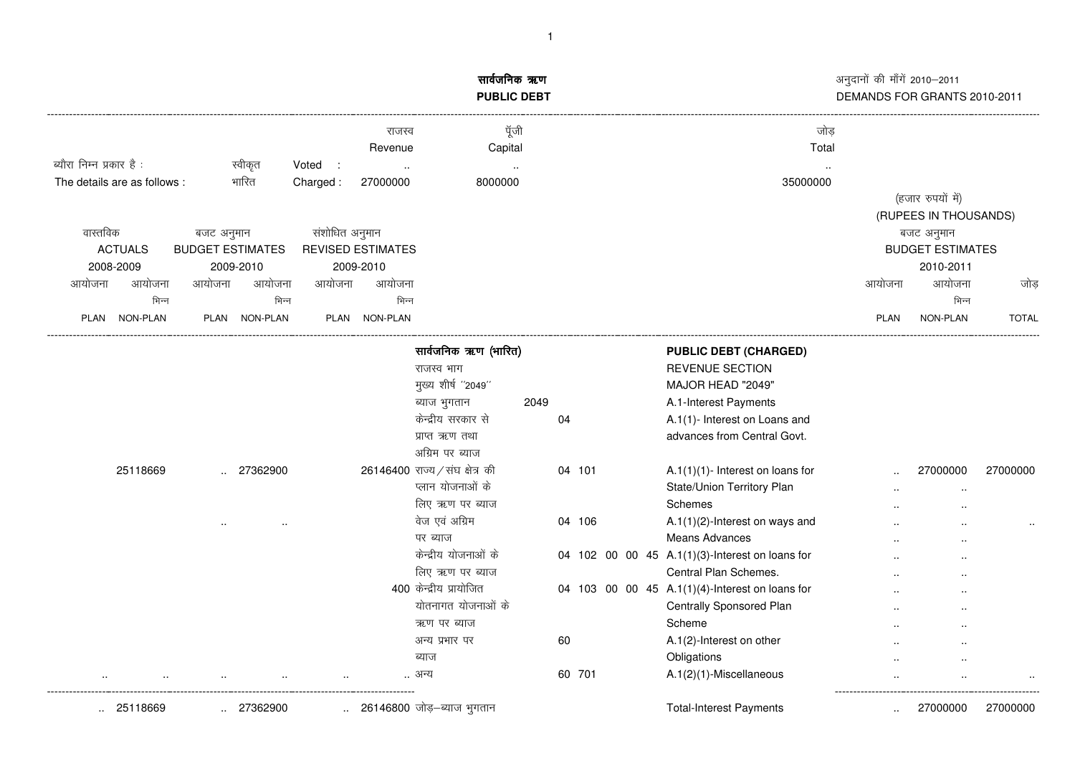|                                  |                                       |                   |                          | सार्वजनिक ऋण<br><b>PUBLIC DEBT</b> |      |        |  | अनुदानों की माँगें 2010–2011<br>DEMANDS FOR GRANTS 2010-2011 |             |                                       |              |  |
|----------------------------------|---------------------------------------|-------------------|--------------------------|------------------------------------|------|--------|--|--------------------------------------------------------------|-------------|---------------------------------------|--------------|--|
|                                  |                                       |                   | राजस्व<br>Revenue        | पूँजी<br>Capital                   |      |        |  | जोड<br>Total                                                 |             |                                       |              |  |
| ब्यौरा निम्न प्रकार है :         | स्वीकृत                               | Voted<br>$\sim$ 1 |                          |                                    |      |        |  |                                                              |             |                                       |              |  |
| The details are as follows :     | भारित                                 | Charged:          | 27000000                 | 8000000                            |      |        |  | 35000000                                                     |             |                                       |              |  |
|                                  |                                       |                   |                          |                                    |      |        |  |                                                              |             | (हजार रुपयों में)                     |              |  |
| वास्तविक                         |                                       |                   |                          |                                    |      |        |  |                                                              |             | (RUPEES IN THOUSANDS)                 |              |  |
| <b>ACTUALS</b>                   | बजट अनुमान<br><b>BUDGET ESTIMATES</b> | संशोधित अनुमान    | <b>REVISED ESTIMATES</b> |                                    |      |        |  |                                                              |             | बजट अनुमान<br><b>BUDGET ESTIMATES</b> |              |  |
| 2008-2009                        | 2009-2010                             |                   | 2009-2010                |                                    |      |        |  |                                                              |             | 2010-2011                             |              |  |
| आयोजना<br>आयोजना                 | आयोजना<br>आयोजना                      | आयोजना            | आयोजना                   |                                    |      |        |  |                                                              | आयोजना      | आयोजना                                |              |  |
| भिन्न                            | भिन्न                                 |                   | भिन्न                    |                                    |      |        |  |                                                              |             | भिन्न                                 | जोड़         |  |
| PLAN NON-PLAN                    | NON-PLAN<br><b>PLAN</b>               |                   | PLAN NON-PLAN            |                                    |      |        |  |                                                              | <b>PLAN</b> | NON-PLAN                              | <b>TOTAL</b> |  |
|                                  |                                       |                   |                          |                                    |      |        |  |                                                              |             |                                       |              |  |
|                                  |                                       |                   |                          | सार्वजनिक ऋण (भारित)               |      |        |  | <b>PUBLIC DEBT (CHARGED)</b>                                 |             |                                       |              |  |
|                                  |                                       |                   |                          | राजस्व भाग                         |      |        |  | <b>REVENUE SECTION</b>                                       |             |                                       |              |  |
|                                  |                                       |                   |                          | मुख्य शीर्ष "2049"                 |      |        |  | MAJOR HEAD "2049"                                            |             |                                       |              |  |
|                                  |                                       |                   |                          | ब्याज भुगतान                       | 2049 |        |  | A.1-Interest Payments                                        |             |                                       |              |  |
|                                  |                                       |                   |                          | केन्द्रीय सरकार से                 | 04   |        |  | A.1(1)- Interest on Loans and                                |             |                                       |              |  |
|                                  |                                       |                   |                          | प्राप्त ऋण तथा                     |      |        |  | advances from Central Govt.                                  |             |                                       |              |  |
|                                  |                                       |                   |                          | अग्रिम पर ब्याज                    |      |        |  |                                                              |             |                                       |              |  |
| 25118669                         | 27362900                              |                   |                          | 26146400 राज्य / संघ क्षेत्र की    |      | 04 101 |  | A.1 $(1)(1)$ - Interest on loans for                         |             | 27000000                              | 27000000     |  |
|                                  |                                       |                   |                          | प्लान योजनाओं के                   |      |        |  | State/Union Territory Plan                                   |             | $\ddot{\phantom{a}}$                  |              |  |
|                                  |                                       |                   |                          | लिए ऋण पर ब्याज                    |      |        |  | Schemes                                                      |             |                                       |              |  |
|                                  |                                       |                   |                          | वेज एवं अग्रिम                     |      | 04 106 |  | $A.1(1)(2)$ -Interest on ways and                            |             |                                       |              |  |
|                                  |                                       |                   |                          | पर ब्याज                           |      |        |  | <b>Means Advances</b>                                        |             |                                       |              |  |
|                                  |                                       |                   |                          | केन्द्रीय योजनाओं के               |      |        |  | 04 102 00 00 45 A.1(1)(3)-Interest on loans for              |             |                                       |              |  |
|                                  |                                       |                   |                          | लिए ऋण पर ब्याज                    |      |        |  | Central Plan Schemes.                                        |             |                                       |              |  |
|                                  |                                       |                   |                          | 400 केन्द्रीय प्रायोजित            |      |        |  | 04 103 00 00 45 A.1(1)(4)-Interest on loans for              |             |                                       |              |  |
|                                  |                                       |                   |                          | योतनागत योजनाओं के                 |      |        |  | Centrally Sponsored Plan                                     |             |                                       |              |  |
|                                  |                                       |                   |                          | ऋण पर ब्याज                        |      |        |  | Scheme                                                       |             |                                       |              |  |
|                                  |                                       |                   |                          | अन्य प्रभार पर                     |      | 60     |  | A.1(2)-Interest on other                                     |             |                                       |              |  |
|                                  |                                       |                   |                          | ब्याज                              |      |        |  | Obligations                                                  |             |                                       |              |  |
|                                  |                                       |                   |                          | अन्य                               |      | 60 701 |  | A.1(2)(1)-Miscellaneous                                      |             |                                       |              |  |
| 25118669<br>$\ddot{\phantom{a}}$ | 27362900                              |                   |                          | 26146800 जोड़–ब्याज भूगतान         |      |        |  | <b>Total-Interest Payments</b>                               |             | 27000000                              | 27000000     |  |

1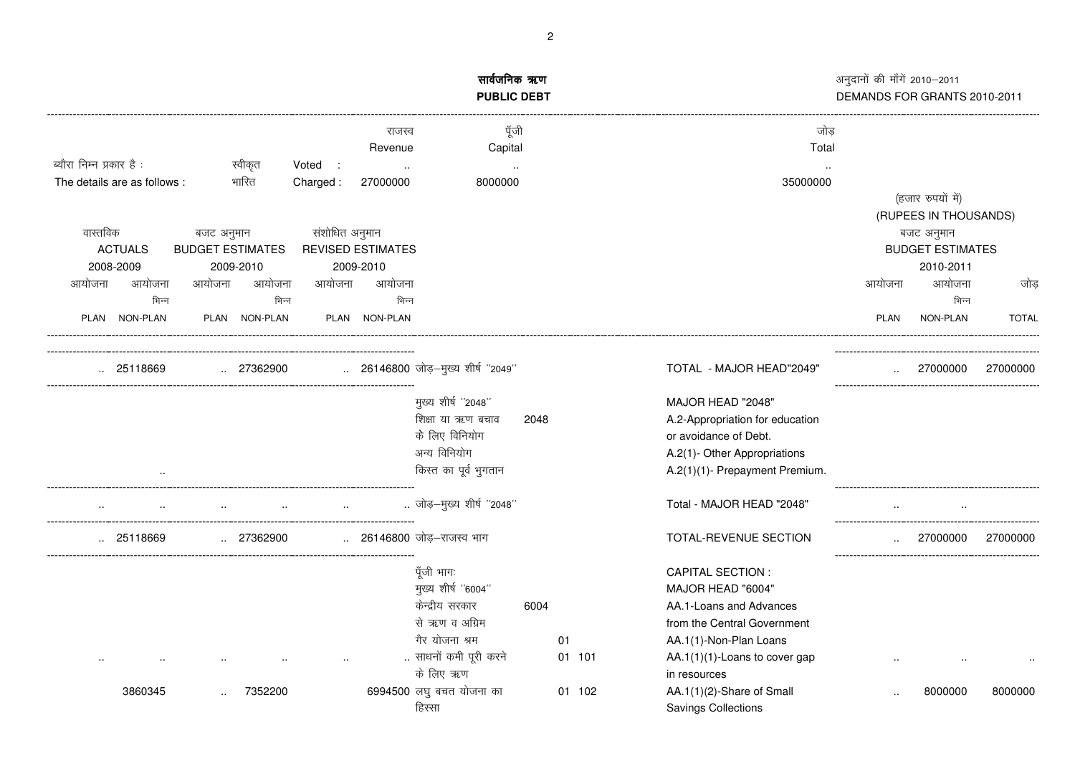|                             |                         |                |                          | सार्वजनिक ऋण<br><b>PUBLIC DEBT</b> |      |        | अनुदानों की माँगें 2010-2011<br>DEMANDS FOR GRANTS 2010-2011 |             |                         |              |  |
|-----------------------------|-------------------------|----------------|--------------------------|------------------------------------|------|--------|--------------------------------------------------------------|-------------|-------------------------|--------------|--|
|                             |                         |                | राजस्व<br>Revenue        | पूँजी<br>Capital                   |      |        | जोड<br>Total                                                 |             |                         |              |  |
| ब्यौरा निम्न प्रकार है:     | स्वीकृत                 | Voted :        |                          |                                    |      |        |                                                              |             |                         |              |  |
| The details are as follows: | भारित                   | Charged:       | 27000000                 | 8000000                            |      |        | 35000000                                                     |             | (हजार रुपयों में)       |              |  |
|                             |                         |                |                          |                                    |      |        |                                                              |             | (RUPEES IN THOUSANDS)   |              |  |
| वास्तविक                    | बजट अनुमान              | संशोधित अनुमान |                          |                                    |      |        |                                                              |             | बजट अनुमान              |              |  |
| <b>ACTUALS</b>              | <b>BUDGET ESTIMATES</b> |                | <b>REVISED ESTIMATES</b> |                                    |      |        |                                                              |             | <b>BUDGET ESTIMATES</b> |              |  |
| 2008-2009                   | 2009-2010               |                | 2009-2010                |                                    |      |        |                                                              |             | 2010-2011               |              |  |
| आयोजना<br>आयोजना            | आयोजना<br>आयोजना        | आयोजना         | आयोजना                   |                                    |      |        |                                                              | आयोजना      | आयोजना                  | जोड          |  |
| भिन्न                       | भिन्न                   |                | भिन्न                    |                                    |      |        |                                                              |             | भिन्न                   |              |  |
| PLAN NON-PLAN               | PLAN<br><b>NON-PLAN</b> | PLAN           | <b>NON-PLAN</b>          |                                    |      |        |                                                              | <b>PLAN</b> | NON-PLAN                | <b>TOTAL</b> |  |
| 25118669                    | 27362900                |                |                          | 26146800 जोड़-मुख्य शीर्ष ''2049'' |      |        | TOTAL - MAJOR HEAD"2049"                                     |             | 27000000                | 27000000     |  |
|                             |                         |                |                          | मुख्य शीर्ष "2048"                 |      |        | MAJOR HEAD "2048"                                            |             |                         |              |  |
|                             |                         |                |                          | शिक्षा या ऋण बचाव                  | 2048 |        | A.2-Appropriation for education                              |             |                         |              |  |
|                             |                         |                |                          | के लिए विनियोग                     |      |        | or avoidance of Debt.                                        |             |                         |              |  |
|                             |                         |                |                          | अन्य विनियोग                       |      |        | A.2(1)- Other Appropriations                                 |             |                         |              |  |
|                             |                         |                |                          | किस्त का पूर्व भुगतान              |      |        | A.2(1)(1)- Prepayment Premium.                               |             |                         |              |  |
|                             |                         |                |                          | जोड़-मुख्य शीर्ष "2048"            |      |        | Total - MAJOR HEAD "2048"                                    |             |                         |              |  |
| 25118669                    | 27362900                |                |                          | 26146800 जोड़-राजस्व भाग           |      |        | TOTAL-REVENUE SECTION                                        |             | 27000000                | 27000000     |  |
|                             |                         |                |                          | पूँजी भागः                         |      |        | <b>CAPITAL SECTION:</b>                                      |             |                         |              |  |
|                             |                         |                |                          | मुख्य शीर्ष "6004"                 |      |        | MAJOR HEAD "6004"                                            |             |                         |              |  |
|                             |                         |                |                          | केन्द्रीय सरकार                    | 6004 |        | AA.1-Loans and Advances                                      |             |                         |              |  |
|                             |                         |                |                          | से ऋण व अग्रिम                     |      |        | from the Central Government                                  |             |                         |              |  |
|                             |                         |                |                          | गैर योजना श्रम                     |      | 01     | AA.1(1)-Non-Plan Loans                                       |             |                         |              |  |
|                             |                         |                |                          | साधनों कमी पूरी करने               |      | 01 101 | AA.1(1)(1)-Loans to cover gap                                |             |                         |              |  |
|                             |                         |                |                          | के लिए ऋण                          |      |        | in resources                                                 |             |                         |              |  |
| 3860345                     | 7352200                 |                |                          | 6994500 लघु बचत योजना का           |      | 01 102 | AA.1(1)(2)-Share of Small                                    |             | 8000000                 | 8000000      |  |
|                             |                         |                |                          | हिस्सा                             |      |        | <b>Savings Collections</b>                                   |             |                         |              |  |